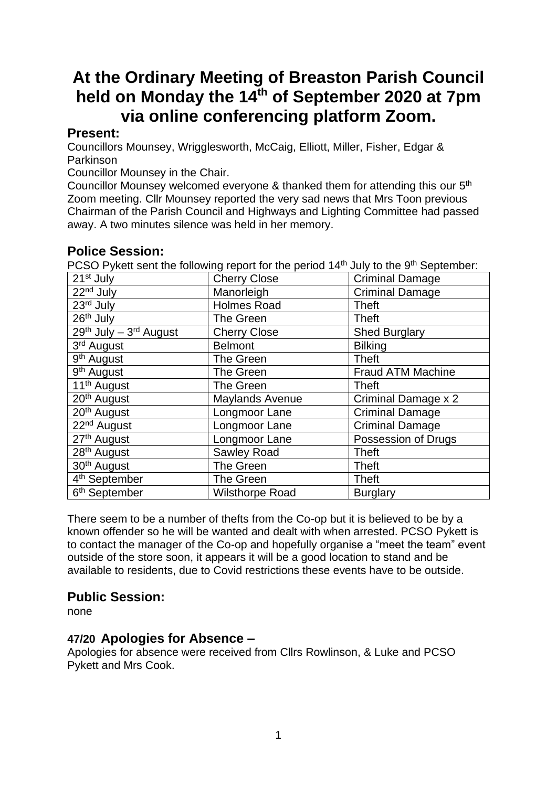# **At the Ordinary Meeting of Breaston Parish Council held on Monday the 14 th of September 2020 at 7pm via online conferencing platform Zoom.**

# **Present:**

Councillors Mounsey, Wrigglesworth, McCaig, Elliott, Miller, Fisher, Edgar & Parkinson

Councillor Mounsey in the Chair.

Councillor Mounsey welcomed everyone & thanked them for attending this our 5<sup>th</sup> Zoom meeting. Cllr Mounsey reported the very sad news that Mrs Toon previous Chairman of the Parish Council and Highways and Lighting Committee had passed away. A two minutes silence was held in her memory.

# **Police Session:**

PCSO Pykett sent the following report for the period 14<sup>th</sup> July to the 9<sup>th</sup> September:

| <b>Cherry Close</b>    | <b>Criminal Damage</b>   |
|------------------------|--------------------------|
| Manorleigh             | <b>Criminal Damage</b>   |
| <b>Holmes Road</b>     | <b>Theft</b>             |
| The Green              | <b>Theft</b>             |
| <b>Cherry Close</b>    | <b>Shed Burglary</b>     |
| <b>Belmont</b>         | <b>Bilking</b>           |
| The Green              | <b>Theft</b>             |
| The Green              | <b>Fraud ATM Machine</b> |
| The Green              | <b>Theft</b>             |
| <b>Maylands Avenue</b> | Criminal Damage x 2      |
| Longmoor Lane          | <b>Criminal Damage</b>   |
| Longmoor Lane          | <b>Criminal Damage</b>   |
| Longmoor Lane          | Possession of Drugs      |
| Sawley Road            | <b>Theft</b>             |
| The Green              | <b>Theft</b>             |
| <b>The Green</b>       | <b>Theft</b>             |
| <b>Wilsthorpe Road</b> | <b>Burglary</b>          |
|                        |                          |

There seem to be a number of thefts from the Co-op but it is believed to be by a known offender so he will be wanted and dealt with when arrested. PCSO Pykett is to contact the manager of the Co-op and hopefully organise a "meet the team" event outside of the store soon, it appears it will be a good location to stand and be available to residents, due to Covid restrictions these events have to be outside.

# **Public Session:**

none

# **47/20 Apologies for Absence –**

Apologies for absence were received from Cllrs Rowlinson, & Luke and PCSO Pykett and Mrs Cook.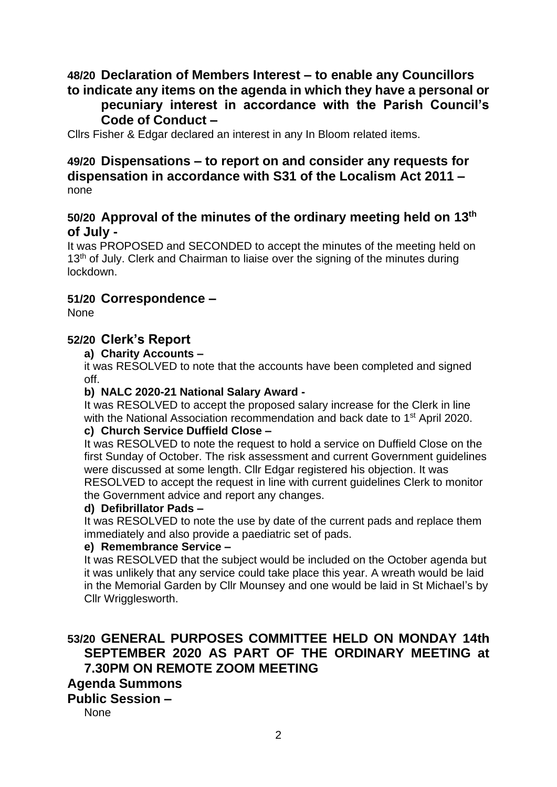### **48/20 Declaration of Members Interest – to enable any Councillors to indicate any items on the agenda in which they have a personal or**

# **pecuniary interest in accordance with the Parish Council's Code of Conduct –**

Cllrs Fisher & Edgar declared an interest in any In Bloom related items.

# **49/20 Dispensations – to report on and consider any requests for dispensation in accordance with S31 of the Localism Act 2011 –** none

### **50/20 Approval of the minutes of the ordinary meeting held on 13th of July -**

It was PROPOSED and SECONDED to accept the minutes of the meeting held on 13<sup>th</sup> of July. Clerk and Chairman to liaise over the signing of the minutes during lockdown.

### **51/20 Correspondence –**

None

### **52/20 Clerk's Report**

**a) Charity Accounts –**

it was RESOLVED to note that the accounts have been completed and signed off.

### **b) NALC 2020-21 National Salary Award -**

It was RESOLVED to accept the proposed salary increase for the Clerk in line with the National Association recommendation and back date to 1<sup>st</sup> April 2020.

### **c) Church Service Duffield Close –**

It was RESOLVED to note the request to hold a service on Duffield Close on the first Sunday of October. The risk assessment and current Government guidelines were discussed at some length. Cllr Edgar registered his objection. It was RESOLVED to accept the request in line with current guidelines Clerk to monitor the Government advice and report any changes.

### **d) Defibrillator Pads –**

It was RESOLVED to note the use by date of the current pads and replace them immediately and also provide a paediatric set of pads.

### **e) Remembrance Service –**

It was RESOLVED that the subject would be included on the October agenda but it was unlikely that any service could take place this year. A wreath would be laid in the Memorial Garden by Cllr Mounsey and one would be laid in St Michael's by Cllr Wrigglesworth.

# **53/20 GENERAL PURPOSES COMMITTEE HELD ON MONDAY 14th SEPTEMBER 2020 AS PART OF THE ORDINARY MEETING at 7.30PM ON REMOTE ZOOM MEETING**

# **Agenda Summons**

### **Public Session –**

None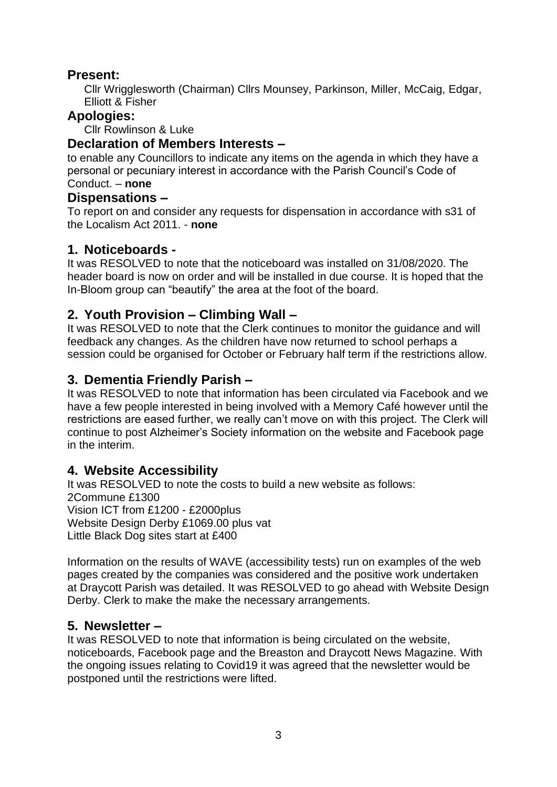# **Present:**

Cllr Wrigglesworth (Chairman) Cllrs Mounsey, Parkinson, Miller, McCaig, Edgar, Elliott & Fisher

### **Apologies:**

Cllr Rowlinson & Luke

### **Declaration of Members Interests –**

to enable any Councillors to indicate any items on the agenda in which they have a personal or pecuniary interest in accordance with the Parish Council's Code of Conduct. – **none**

### **Dispensations –**

To report on and consider any requests for dispensation in accordance with s31 of the Localism Act 2011. - **none**

# **1. Noticeboards -**

It was RESOLVED to note that the noticeboard was installed on 31/08/2020. The header board is now on order and will be installed in due course. It is hoped that the In-Bloom group can "beautify" the area at the foot of the board.

# **2. Youth Provision – Climbing Wall –**

It was RESOLVED to note that the Clerk continues to monitor the guidance and will feedback any changes. As the children have now returned to school perhaps a session could be organised for October or February half term if the restrictions allow.

# **3. Dementia Friendly Parish –**

It was RESOLVED to note that information has been circulated via Facebook and we have a few people interested in being involved with a Memory Café however until the restrictions are eased further, we really can't move on with this project. The Clerk will continue to post Alzheimer's Society information on the website and Facebook page in the interim.

# **4. Website Accessibility**

It was RESOLVED to note the costs to build a new website as follows: 2Commune £1300 Vision ICT from £1200 - £2000plus Website Design Derby £1069.00 plus vat Little Black Dog sites start at £400

Information on the results of WAVE (accessibility tests) run on examples of the web pages created by the companies was considered and the positive work undertaken at Draycott Parish was detailed. It was RESOLVED to go ahead with Website Design Derby. Clerk to make the make the necessary arrangements.

# **5. Newsletter –**

It was RESOLVED to note that information is being circulated on the website, noticeboards, Facebook page and the Breaston and Draycott News Magazine. With the ongoing issues relating to Covid19 it was agreed that the newsletter would be postponed until the restrictions were lifted.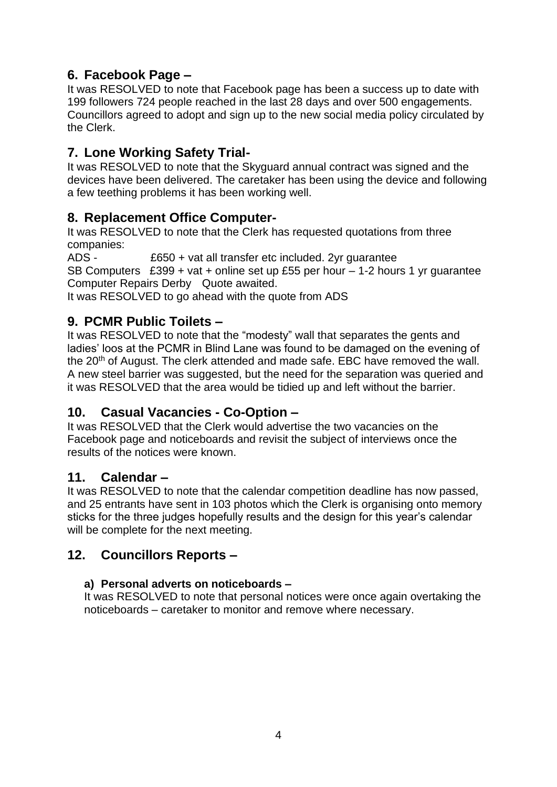# **6. Facebook Page –**

It was RESOLVED to note that Facebook page has been a success up to date with 199 followers 724 people reached in the last 28 days and over 500 engagements. Councillors agreed to adopt and sign up to the new social media policy circulated by the Clerk.

# **7. Lone Working Safety Trial-**

It was RESOLVED to note that the Skyguard annual contract was signed and the devices have been delivered. The caretaker has been using the device and following a few teething problems it has been working well.

# **8. Replacement Office Computer-**

It was RESOLVED to note that the Clerk has requested quotations from three companies:

ADS - £650 + vat all transfer etc included. 2yr guarantee SB Computers £399 + vat + online set up £55 per hour – 1-2 hours 1 yr guarantee Computer Repairs Derby Quote awaited.

It was RESOLVED to go ahead with the quote from ADS

# **9. PCMR Public Toilets –**

It was RESOLVED to note that the "modesty" wall that separates the gents and ladies' loos at the PCMR in Blind Lane was found to be damaged on the evening of the 20<sup>th</sup> of August. The clerk attended and made safe. EBC have removed the wall. A new steel barrier was suggested, but the need for the separation was queried and it was RESOLVED that the area would be tidied up and left without the barrier.

# **10. Casual Vacancies - Co-Option –**

It was RESOLVED that the Clerk would advertise the two vacancies on the Facebook page and noticeboards and revisit the subject of interviews once the results of the notices were known.

# **11. Calendar –**

It was RESOLVED to note that the calendar competition deadline has now passed, and 25 entrants have sent in 103 photos which the Clerk is organising onto memory sticks for the three judges hopefully results and the design for this year's calendar will be complete for the next meeting.

# **12. Councillors Reports –**

### **a) Personal adverts on noticeboards –**

It was RESOLVED to note that personal notices were once again overtaking the noticeboards – caretaker to monitor and remove where necessary.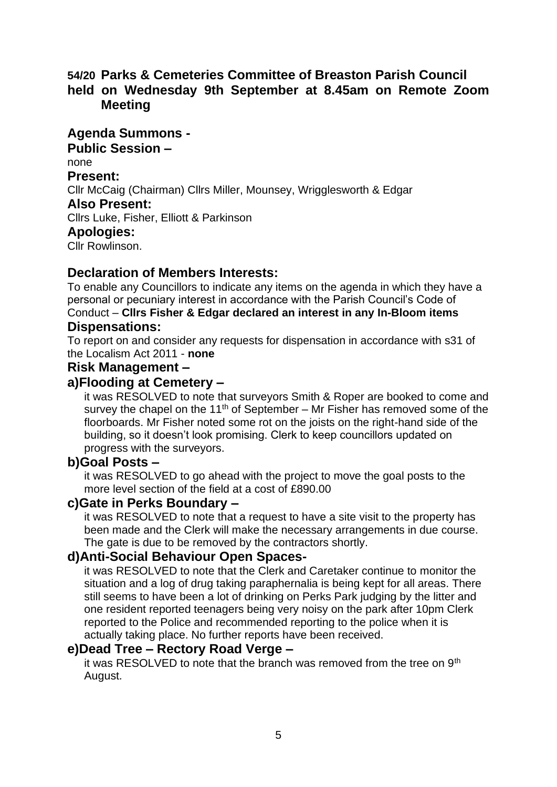# **54/20 Parks & Cemeteries Committee of Breaston Parish Council held on Wednesday 9th September at 8.45am on Remote Zoom Meeting**

**Agenda Summons - Public Session –** none **Present:** Cllr McCaig (Chairman) Cllrs Miller, Mounsey, Wrigglesworth & Edgar **Also Present:** Cllrs Luke, Fisher, Elliott & Parkinson **Apologies:**  Cllr Rowlinson.

### **Declaration of Members Interests:**

To enable any Councillors to indicate any items on the agenda in which they have a personal or pecuniary interest in accordance with the Parish Council's Code of Conduct – **Cllrs Fisher & Edgar declared an interest in any In-Bloom items Dispensations:**

To report on and consider any requests for dispensation in accordance with s31 of the Localism Act 2011 - **none**

### **Risk Management –**

### **a)Flooding at Cemetery –**

it was RESOLVED to note that surveyors Smith & Roper are booked to come and survey the chapel on the 11<sup>th</sup> of September – Mr Fisher has removed some of the floorboards. Mr Fisher noted some rot on the joists on the right-hand side of the building, so it doesn't look promising. Clerk to keep councillors updated on progress with the surveyors.

### **b)Goal Posts –**

it was RESOLVED to go ahead with the project to move the goal posts to the more level section of the field at a cost of £890.00

### **c)Gate in Perks Boundary –**

it was RESOLVED to note that a request to have a site visit to the property has been made and the Clerk will make the necessary arrangements in due course. The gate is due to be removed by the contractors shortly.

### **d)Anti-Social Behaviour Open Spaces-**

it was RESOLVED to note that the Clerk and Caretaker continue to monitor the situation and a log of drug taking paraphernalia is being kept for all areas. There still seems to have been a lot of drinking on Perks Park judging by the litter and one resident reported teenagers being very noisy on the park after 10pm Clerk reported to the Police and recommended reporting to the police when it is actually taking place. No further reports have been received.

### **e)Dead Tree – Rectory Road Verge –**

it was RESOLVED to note that the branch was removed from the tree on 9<sup>th</sup> August.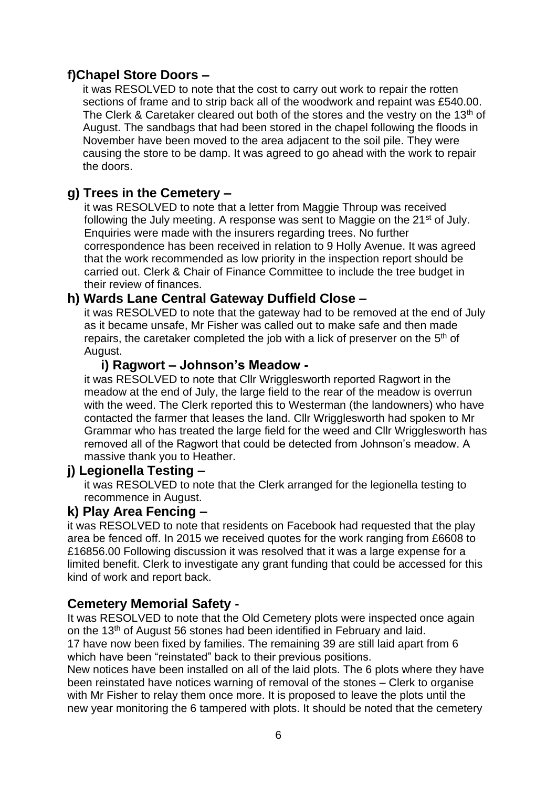# **f)Chapel Store Doors –**

it was RESOLVED to note that the cost to carry out work to repair the rotten sections of frame and to strip back all of the woodwork and repaint was £540.00. The Clerk & Caretaker cleared out both of the stores and the vestry on the 13<sup>th</sup> of August. The sandbags that had been stored in the chapel following the floods in November have been moved to the area adjacent to the soil pile. They were causing the store to be damp. It was agreed to go ahead with the work to repair the doors.

# **g) Trees in the Cemetery –**

it was RESOLVED to note that a letter from Maggie Throup was received following the July meeting. A response was sent to Maggie on the 21<sup>st</sup> of July. Enquiries were made with the insurers regarding trees. No further correspondence has been received in relation to 9 Holly Avenue. It was agreed that the work recommended as low priority in the inspection report should be carried out. Clerk & Chair of Finance Committee to include the tree budget in their review of finances.

# **h) Wards Lane Central Gateway Duffield Close –**

it was RESOLVED to note that the gateway had to be removed at the end of July as it became unsafe, Mr Fisher was called out to make safe and then made repairs, the caretaker completed the job with a lick of preserver on the  $5<sup>th</sup>$  of August.

# **i) Ragwort – Johnson's Meadow -**

it was RESOLVED to note that Cllr Wrigglesworth reported Ragwort in the meadow at the end of July, the large field to the rear of the meadow is overrun with the weed. The Clerk reported this to Westerman (the landowners) who have contacted the farmer that leases the land. Cllr Wrigglesworth had spoken to Mr Grammar who has treated the large field for the weed and Cllr Wrigglesworth has removed all of the Ragwort that could be detected from Johnson's meadow. A massive thank you to Heather.

# **j) Legionella Testing –**

it was RESOLVED to note that the Clerk arranged for the legionella testing to recommence in August.

# **k) Play Area Fencing –**

it was RESOLVED to note that residents on Facebook had requested that the play area be fenced off. In 2015 we received quotes for the work ranging from £6608 to £16856.00 Following discussion it was resolved that it was a large expense for a limited benefit. Clerk to investigate any grant funding that could be accessed for this kind of work and report back.

# **Cemetery Memorial Safety -**

It was RESOLVED to note that the Old Cemetery plots were inspected once again on the 13<sup>th</sup> of August 56 stones had been identified in February and laid.

17 have now been fixed by families. The remaining 39 are still laid apart from 6 which have been "reinstated" back to their previous positions.

New notices have been installed on all of the laid plots. The 6 plots where they have been reinstated have notices warning of removal of the stones – Clerk to organise with Mr Fisher to relay them once more. It is proposed to leave the plots until the new year monitoring the 6 tampered with plots. It should be noted that the cemetery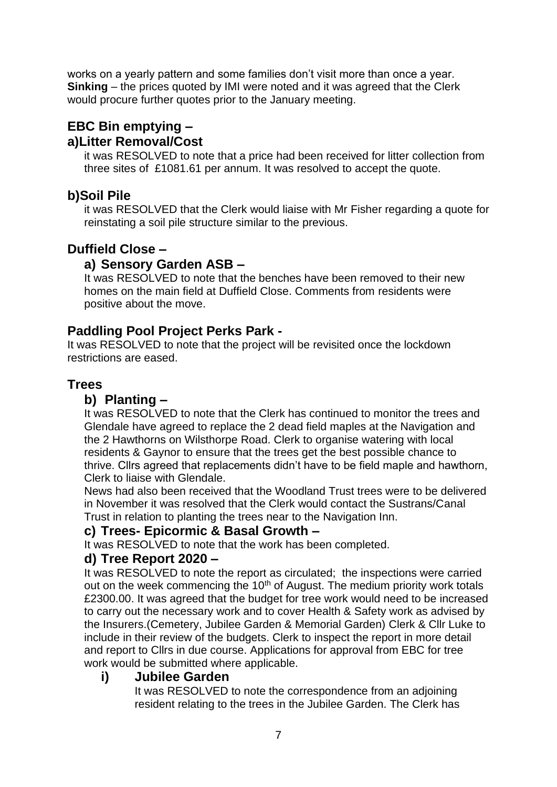works on a yearly pattern and some families don't visit more than once a year. **Sinking** – the prices quoted by IMI were noted and it was agreed that the Clerk would procure further quotes prior to the January meeting.

# **EBC Bin emptying – a)Litter Removal/Cost**

it was RESOLVED to note that a price had been received for litter collection from three sites of £1081.61 per annum. It was resolved to accept the quote.

# **b)Soil Pile**

it was RESOLVED that the Clerk would liaise with Mr Fisher regarding a quote for reinstating a soil pile structure similar to the previous.

# **Duffield Close –**

# **a) Sensory Garden ASB –**

It was RESOLVED to note that the benches have been removed to their new homes on the main field at Duffield Close. Comments from residents were positive about the move.

# **Paddling Pool Project Perks Park -**

It was RESOLVED to note that the project will be revisited once the lockdown restrictions are eased.

# **Trees**

# **b) Planting –**

It was RESOLVED to note that the Clerk has continued to monitor the trees and Glendale have agreed to replace the 2 dead field maples at the Navigation and the 2 Hawthorns on Wilsthorpe Road. Clerk to organise watering with local residents & Gaynor to ensure that the trees get the best possible chance to thrive. Cllrs agreed that replacements didn't have to be field maple and hawthorn, Clerk to liaise with Glendale.

News had also been received that the Woodland Trust trees were to be delivered in November it was resolved that the Clerk would contact the Sustrans/Canal Trust in relation to planting the trees near to the Navigation Inn.

# **c) Trees- Epicormic & Basal Growth –**

It was RESOLVED to note that the work has been completed.

# **d) Tree Report 2020 –**

It was RESOLVED to note the report as circulated; the inspections were carried out on the week commencing the 10<sup>th</sup> of August. The medium priority work totals £2300.00. It was agreed that the budget for tree work would need to be increased to carry out the necessary work and to cover Health & Safety work as advised by the Insurers.(Cemetery, Jubilee Garden & Memorial Garden) Clerk & Cllr Luke to include in their review of the budgets. Clerk to inspect the report in more detail and report to Cllrs in due course. Applications for approval from EBC for tree work would be submitted where applicable.

# **i) Jubilee Garden**

It was RESOLVED to note the correspondence from an adjoining resident relating to the trees in the Jubilee Garden. The Clerk has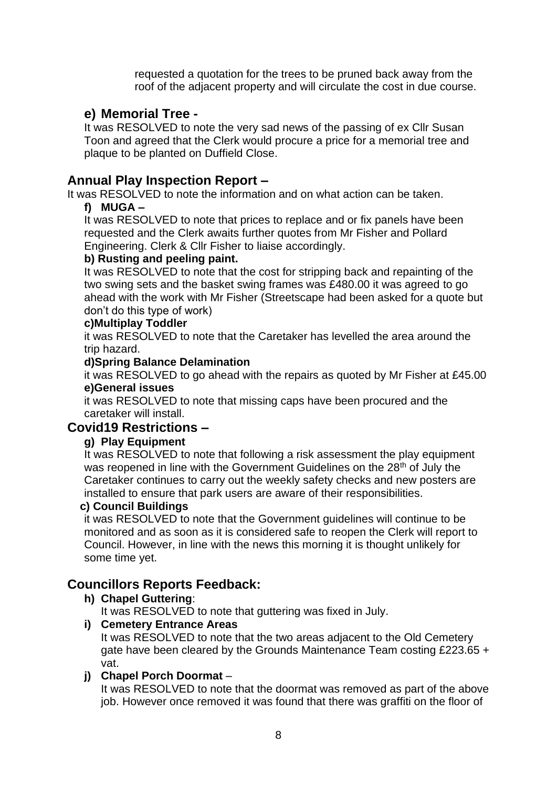requested a quotation for the trees to be pruned back away from the roof of the adjacent property and will circulate the cost in due course.

# **e) Memorial Tree -**

It was RESOLVED to note the very sad news of the passing of ex Cllr Susan Toon and agreed that the Clerk would procure a price for a memorial tree and plaque to be planted on Duffield Close.

# **Annual Play Inspection Report –**

It was RESOLVED to note the information and on what action can be taken.

### **f) MUGA –**

It was RESOLVED to note that prices to replace and or fix panels have been requested and the Clerk awaits further quotes from Mr Fisher and Pollard Engineering. Clerk & Cllr Fisher to liaise accordingly.

### **b) Rusting and peeling paint.**

It was RESOLVED to note that the cost for stripping back and repainting of the two swing sets and the basket swing frames was £480.00 it was agreed to go ahead with the work with Mr Fisher (Streetscape had been asked for a quote but don't do this type of work)

### **c)Multiplay Toddler**

it was RESOLVED to note that the Caretaker has levelled the area around the trip hazard.

### **d)Spring Balance Delamination**

it was RESOLVED to go ahead with the repairs as quoted by Mr Fisher at £45.00 **e)General issues** 

it was RESOLVED to note that missing caps have been procured and the caretaker will install.

# **Covid19 Restrictions –**

### **g) Play Equipment**

It was RESOLVED to note that following a risk assessment the play equipment was reopened in line with the Government Guidelines on the 28<sup>th</sup> of July the Caretaker continues to carry out the weekly safety checks and new posters are installed to ensure that park users are aware of their responsibilities.

### **c) Council Buildings**

it was RESOLVED to note that the Government guidelines will continue to be monitored and as soon as it is considered safe to reopen the Clerk will report to Council. However, in line with the news this morning it is thought unlikely for some time yet.

# **Councillors Reports Feedback:**

# **h) Chapel Guttering**:

It was RESOLVED to note that guttering was fixed in July.

### **i) Cemetery Entrance Areas**

It was RESOLVED to note that the two areas adjacent to the Old Cemetery gate have been cleared by the Grounds Maintenance Team costing £223.65 + vat.

# **j) Chapel Porch Doormat** –

It was RESOLVED to note that the doormat was removed as part of the above job. However once removed it was found that there was graffiti on the floor of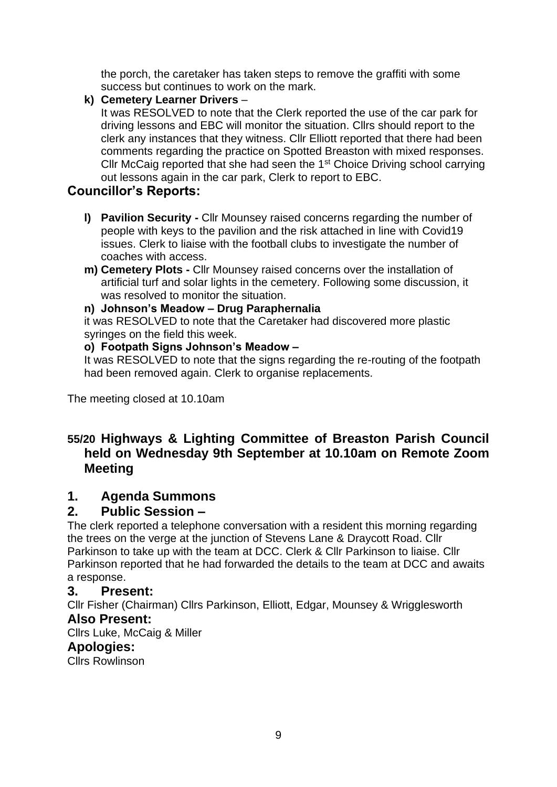the porch, the caretaker has taken steps to remove the graffiti with some success but continues to work on the mark.

**k) Cemetery Learner Drivers** –

It was RESOLVED to note that the Clerk reported the use of the car park for driving lessons and EBC will monitor the situation. Cllrs should report to the clerk any instances that they witness. Cllr Elliott reported that there had been comments regarding the practice on Spotted Breaston with mixed responses. Cllr McCaig reported that she had seen the 1st Choice Driving school carrying out lessons again in the car park, Clerk to report to EBC.

# **Councillor's Reports:**

- **l) Pavilion Security -** Cllr Mounsey raised concerns regarding the number of people with keys to the pavilion and the risk attached in line with Covid19 issues. Clerk to liaise with the football clubs to investigate the number of coaches with access.
- **m) Cemetery Plots -** Cllr Mounsey raised concerns over the installation of artificial turf and solar lights in the cemetery. Following some discussion, it was resolved to monitor the situation.

### **n) Johnson's Meadow – Drug Paraphernalia**

it was RESOLVED to note that the Caretaker had discovered more plastic syringes on the field this week.

### **o) Footpath Signs Johnson's Meadow –**

It was RESOLVED to note that the signs regarding the re-routing of the footpath had been removed again. Clerk to organise replacements.

The meeting closed at 10.10am

# **55/20 Highways & Lighting Committee of Breaston Parish Council held on Wednesday 9th September at 10.10am on Remote Zoom Meeting**

# **1. Agenda Summons**

# **2. Public Session –**

The clerk reported a telephone conversation with a resident this morning regarding the trees on the verge at the junction of Stevens Lane & Draycott Road. Cllr Parkinson to take up with the team at DCC. Clerk & Cllr Parkinson to liaise. Cllr Parkinson reported that he had forwarded the details to the team at DCC and awaits a response.

# **3. Present:**

Cllr Fisher (Chairman) Cllrs Parkinson, Elliott, Edgar, Mounsey & Wrigglesworth **Also Present:**

Cllrs Luke, McCaig & Miller

# **Apologies:**

Cllrs Rowlinson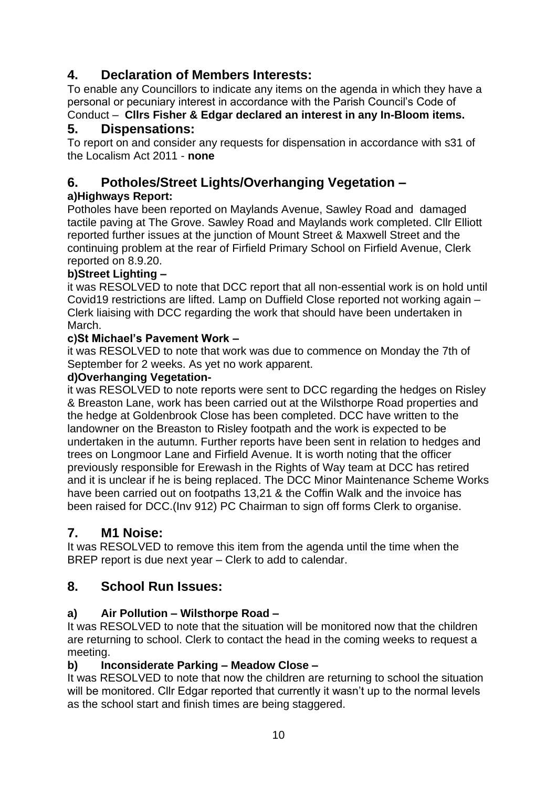# **4. Declaration of Members Interests:**

To enable any Councillors to indicate any items on the agenda in which they have a personal or pecuniary interest in accordance with the Parish Council's Code of

#### Conduct – **Cllrs Fisher & Edgar declared an interest in any In-Bloom items. 5. Dispensations:**

To report on and consider any requests for dispensation in accordance with s31 of the Localism Act 2011 - **none**

# **6. Potholes/Street Lights/Overhanging Vegetation –**

# **a)Highways Report:**

Potholes have been reported on Maylands Avenue, Sawley Road and damaged tactile paving at The Grove. Sawley Road and Maylands work completed. Cllr Elliott reported further issues at the junction of Mount Street & Maxwell Street and the continuing problem at the rear of Firfield Primary School on Firfield Avenue, Clerk reported on 8.9.20.

# **b)Street Lighting –**

it was RESOLVED to note that DCC report that all non-essential work is on hold until Covid19 restrictions are lifted. Lamp on Duffield Close reported not working again – Clerk liaising with DCC regarding the work that should have been undertaken in March.

### **c)St Michael's Pavement Work –**

it was RESOLVED to note that work was due to commence on Monday the 7th of September for 2 weeks. As yet no work apparent.

### **d)Overhanging Vegetation-**

it was RESOLVED to note reports were sent to DCC regarding the hedges on Risley & Breaston Lane, work has been carried out at the Wilsthorpe Road properties and the hedge at Goldenbrook Close has been completed. DCC have written to the landowner on the Breaston to Risley footpath and the work is expected to be undertaken in the autumn. Further reports have been sent in relation to hedges and trees on Longmoor Lane and Firfield Avenue. It is worth noting that the officer previously responsible for Erewash in the Rights of Way team at DCC has retired and it is unclear if he is being replaced. The DCC Minor Maintenance Scheme Works have been carried out on footpaths 13,21 & the Coffin Walk and the invoice has been raised for DCC.(Inv 912) PC Chairman to sign off forms Clerk to organise.

# **7. M1 Noise:**

It was RESOLVED to remove this item from the agenda until the time when the BREP report is due next year – Clerk to add to calendar.

# **8. School Run Issues:**

# **a) Air Pollution – Wilsthorpe Road –**

It was RESOLVED to note that the situation will be monitored now that the children are returning to school. Clerk to contact the head in the coming weeks to request a meeting.

# **b) Inconsiderate Parking – Meadow Close –**

It was RESOLVED to note that now the children are returning to school the situation will be monitored. Cllr Edgar reported that currently it wasn't up to the normal levels as the school start and finish times are being staggered.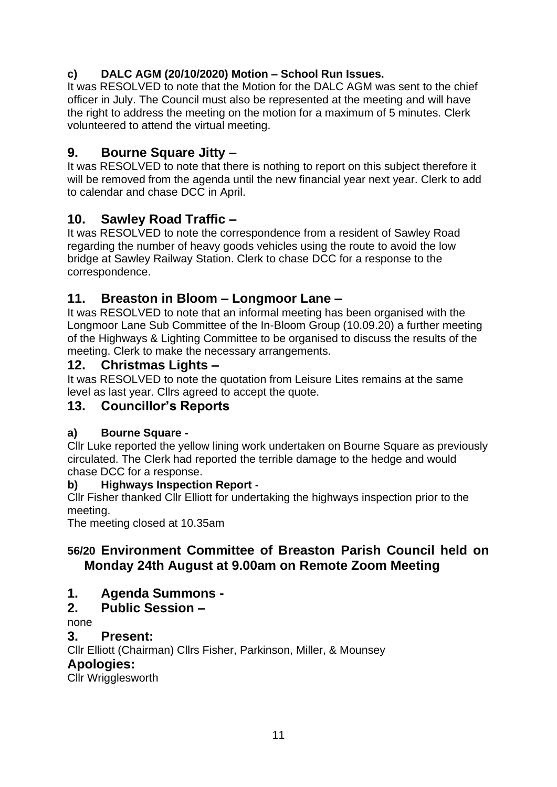# **c) DALC AGM (20/10/2020) Motion – School Run Issues.**

It was RESOLVED to note that the Motion for the DALC AGM was sent to the chief officer in July. The Council must also be represented at the meeting and will have the right to address the meeting on the motion for a maximum of 5 minutes. Clerk volunteered to attend the virtual meeting.

# **9. Bourne Square Jitty –**

It was RESOLVED to note that there is nothing to report on this subject therefore it will be removed from the agenda until the new financial year next year. Clerk to add to calendar and chase DCC in April.

# **10. Sawley Road Traffic –**

It was RESOLVED to note the correspondence from a resident of Sawley Road regarding the number of heavy goods vehicles using the route to avoid the low bridge at Sawley Railway Station. Clerk to chase DCC for a response to the correspondence.

# **11. Breaston in Bloom – Longmoor Lane –**

It was RESOLVED to note that an informal meeting has been organised with the Longmoor Lane Sub Committee of the In-Bloom Group (10.09.20) a further meeting of the Highways & Lighting Committee to be organised to discuss the results of the meeting. Clerk to make the necessary arrangements.

# **12. Christmas Lights –**

It was RESOLVED to note the quotation from Leisure Lites remains at the same level as last year. Cllrs agreed to accept the quote.

# **13. Councillor's Reports**

# **a) Bourne Square -**

Cllr Luke reported the yellow lining work undertaken on Bourne Square as previously circulated. The Clerk had reported the terrible damage to the hedge and would chase DCC for a response.

# **b) Highways Inspection Report -**

Cllr Fisher thanked Cllr Elliott for undertaking the highways inspection prior to the meeting.

The meeting closed at 10.35am

# **56/20 Environment Committee of Breaston Parish Council held on Monday 24th August at 9.00am on Remote Zoom Meeting**

**1. Agenda Summons -**

# **2. Public Session –**

none

**3. Present:**

Cllr Elliott (Chairman) Cllrs Fisher, Parkinson, Miller, & Mounsey

# **Apologies:**

Cllr Wrigglesworth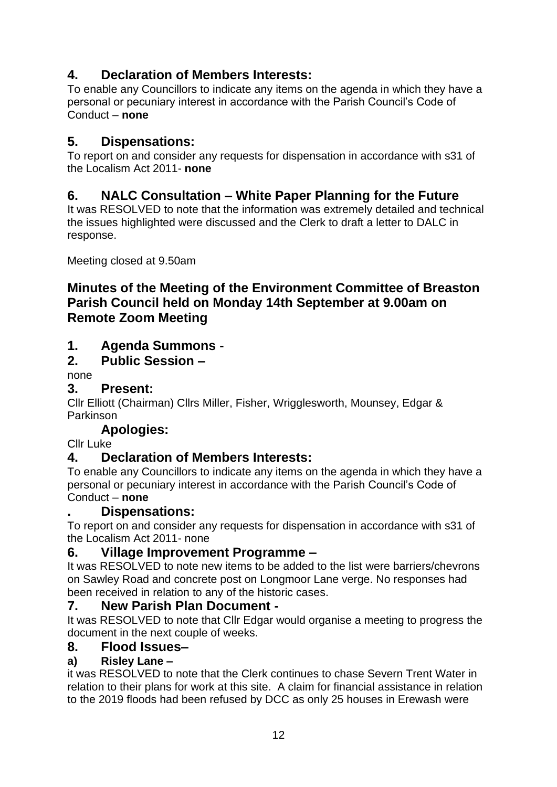# **4. Declaration of Members Interests:**

To enable any Councillors to indicate any items on the agenda in which they have a personal or pecuniary interest in accordance with the Parish Council's Code of Conduct – **none**

# **5. Dispensations:**

To report on and consider any requests for dispensation in accordance with s31 of the Localism Act 2011- **none**

# **6. NALC Consultation – White Paper Planning for the Future**

It was RESOLVED to note that the information was extremely detailed and technical the issues highlighted were discussed and the Clerk to draft a letter to DALC in response.

Meeting closed at 9.50am

# **Minutes of the Meeting of the Environment Committee of Breaston Parish Council held on Monday 14th September at 9.00am on Remote Zoom Meeting**

# **1. Agenda Summons -**

# **2. Public Session –**

none

# **3. Present:**

Cllr Elliott (Chairman) Cllrs Miller, Fisher, Wrigglesworth, Mounsey, Edgar & Parkinson

# **Apologies:**

Cllr Luke

# **4. Declaration of Members Interests:**

To enable any Councillors to indicate any items on the agenda in which they have a personal or pecuniary interest in accordance with the Parish Council's Code of Conduct – **none**

# **. Dispensations:**

To report on and consider any requests for dispensation in accordance with s31 of the Localism Act 2011- none

# **6. Village Improvement Programme –**

It was RESOLVED to note new items to be added to the list were barriers/chevrons on Sawley Road and concrete post on Longmoor Lane verge. No responses had been received in relation to any of the historic cases.

# **7. New Parish Plan Document -**

It was RESOLVED to note that Cllr Edgar would organise a meeting to progress the document in the next couple of weeks.

# **8. Flood Issues–**

# **a) Risley Lane –**

it was RESOLVED to note that the Clerk continues to chase Severn Trent Water in relation to their plans for work at this site. A claim for financial assistance in relation to the 2019 floods had been refused by DCC as only 25 houses in Erewash were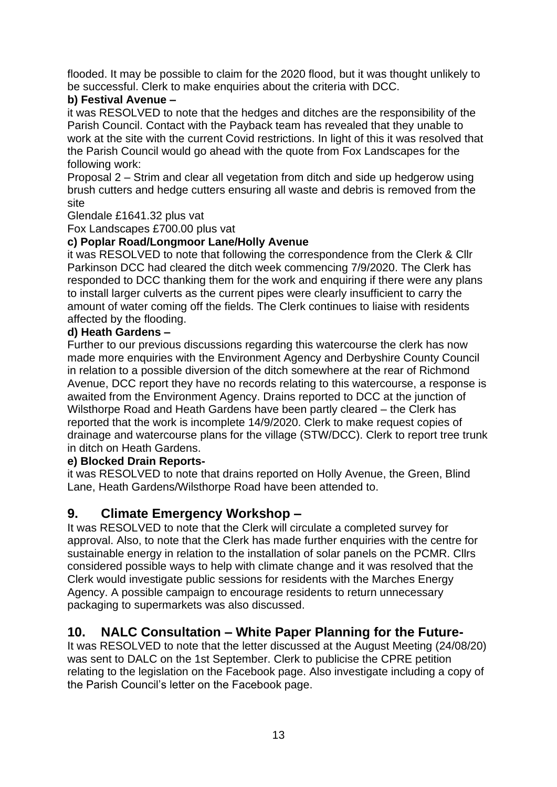flooded. It may be possible to claim for the 2020 flood, but it was thought unlikely to be successful. Clerk to make enquiries about the criteria with DCC.

### **b) Festival Avenue –**

it was RESOLVED to note that the hedges and ditches are the responsibility of the Parish Council. Contact with the Payback team has revealed that they unable to work at the site with the current Covid restrictions. In light of this it was resolved that the Parish Council would go ahead with the quote from Fox Landscapes for the following work:

Proposal 2 – Strim and clear all vegetation from ditch and side up hedgerow using brush cutters and hedge cutters ensuring all waste and debris is removed from the site

Glendale £1641.32 plus vat

Fox Landscapes £700.00 plus vat

### **c) Poplar Road/Longmoor Lane/Holly Avenue**

it was RESOLVED to note that following the correspondence from the Clerk & Cllr Parkinson DCC had cleared the ditch week commencing 7/9/2020. The Clerk has responded to DCC thanking them for the work and enquiring if there were any plans to install larger culverts as the current pipes were clearly insufficient to carry the amount of water coming off the fields. The Clerk continues to liaise with residents affected by the flooding.

### **d) Heath Gardens –**

Further to our previous discussions regarding this watercourse the clerk has now made more enquiries with the Environment Agency and Derbyshire County Council in relation to a possible diversion of the ditch somewhere at the rear of Richmond Avenue, DCC report they have no records relating to this watercourse, a response is awaited from the Environment Agency. Drains reported to DCC at the junction of Wilsthorpe Road and Heath Gardens have been partly cleared – the Clerk has reported that the work is incomplete 14/9/2020. Clerk to make request copies of drainage and watercourse plans for the village (STW/DCC). Clerk to report tree trunk in ditch on Heath Gardens.

### **e) Blocked Drain Reports-**

it was RESOLVED to note that drains reported on Holly Avenue, the Green, Blind Lane, Heath Gardens/Wilsthorpe Road have been attended to.

# **9. Climate Emergency Workshop –**

It was RESOLVED to note that the Clerk will circulate a completed survey for approval. Also, to note that the Clerk has made further enquiries with the centre for sustainable energy in relation to the installation of solar panels on the PCMR. Cllrs considered possible ways to help with climate change and it was resolved that the Clerk would investigate public sessions for residents with the Marches Energy Agency. A possible campaign to encourage residents to return unnecessary packaging to supermarkets was also discussed.

# **10. NALC Consultation – White Paper Planning for the Future-**

It was RESOLVED to note that the letter discussed at the August Meeting (24/08/20) was sent to DALC on the 1st September. Clerk to publicise the CPRE petition relating to the legislation on the Facebook page. Also investigate including a copy of the Parish Council's letter on the Facebook page.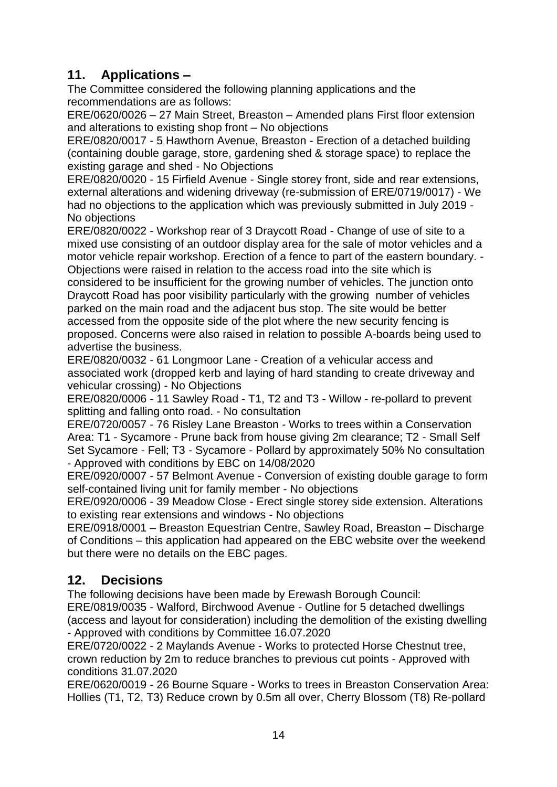# **11. Applications –**

The Committee considered the following planning applications and the recommendations are as follows:

ERE/0620/0026 – 27 Main Street, Breaston – Amended plans First floor extension and alterations to existing shop front – No objections

ERE/0820/0017 - 5 Hawthorn Avenue, Breaston - Erection of a detached building (containing double garage, store, gardening shed & storage space) to replace the existing garage and shed - No Objections

ERE/0820/0020 - 15 Firfield Avenue - Single storey front, side and rear extensions, external alterations and widening driveway (re-submission of ERE/0719/0017) - We had no objections to the application which was previously submitted in July 2019 - No objections

ERE/0820/0022 - Workshop rear of 3 Draycott Road - Change of use of site to a mixed use consisting of an outdoor display area for the sale of motor vehicles and a motor vehicle repair workshop. Erection of a fence to part of the eastern boundary. - Objections were raised in relation to the access road into the site which is

considered to be insufficient for the growing number of vehicles. The junction onto Draycott Road has poor visibility particularly with the growing number of vehicles parked on the main road and the adjacent bus stop. The site would be better accessed from the opposite side of the plot where the new security fencing is proposed. Concerns were also raised in relation to possible A-boards being used to advertise the business.

ERE/0820/0032 - 61 Longmoor Lane - Creation of a vehicular access and associated work (dropped kerb and laying of hard standing to create driveway and vehicular crossing) - No Objections

ERE/0820/0006 - 11 Sawley Road - T1, T2 and T3 - Willow - re-pollard to prevent splitting and falling onto road. - No consultation

ERE/0720/0057 - 76 Risley Lane Breaston - Works to trees within a Conservation Area: T1 - Sycamore - Prune back from house giving 2m clearance; T2 - Small Self Set Sycamore - Fell; T3 - Sycamore - Pollard by approximately 50% No consultation - Approved with conditions by EBC on 14/08/2020

ERE/0920/0007 - 57 Belmont Avenue - Conversion of existing double garage to form self-contained living unit for family member - No objections

ERE/0920/0006 - 39 Meadow Close - Erect single storey side extension. Alterations to existing rear extensions and windows - No objections

ERE/0918/0001 – Breaston Equestrian Centre, Sawley Road, Breaston – Discharge of Conditions – this application had appeared on the EBC website over the weekend but there were no details on the EBC pages.

# **12. Decisions**

The following decisions have been made by Erewash Borough Council:

ERE/0819/0035 - Walford, Birchwood Avenue - Outline for 5 detached dwellings (access and layout for consideration) including the demolition of the existing dwelling - Approved with conditions by Committee 16.07.2020

ERE/0720/0022 - 2 Maylands Avenue - Works to protected Horse Chestnut tree, crown reduction by 2m to reduce branches to previous cut points - Approved with conditions 31.07.2020

ERE/0620/0019 - 26 Bourne Square - Works to trees in Breaston Conservation Area: Hollies (T1, T2, T3) Reduce crown by 0.5m all over, Cherry Blossom (T8) Re-pollard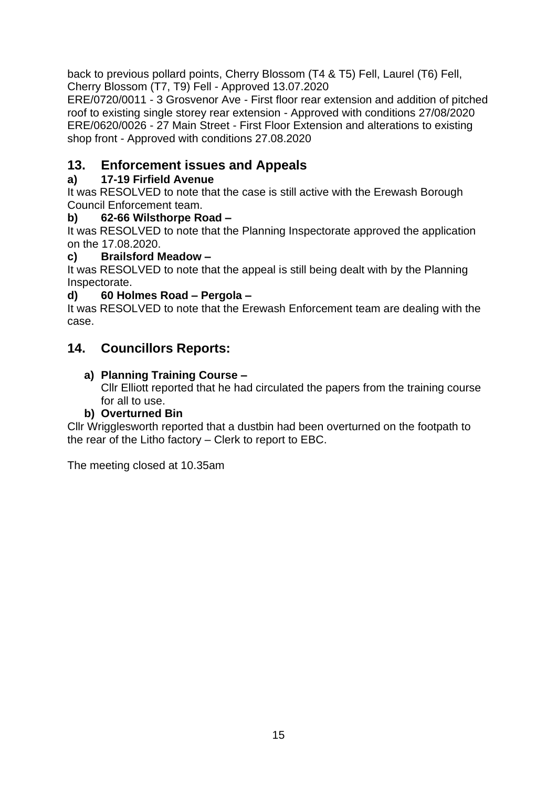back to previous pollard points, Cherry Blossom (T4 & T5) Fell, Laurel (T6) Fell, Cherry Blossom (T7, T9) Fell - Approved 13.07.2020

ERE/0720/0011 - 3 Grosvenor Ave - First floor rear extension and addition of pitched roof to existing single storey rear extension - Approved with conditions 27/08/2020 ERE/0620/0026 - 27 Main Street - First Floor Extension and alterations to existing shop front - Approved with conditions 27.08.2020

# **13. Enforcement issues and Appeals**

# **a) 17-19 Firfield Avenue**

It was RESOLVED to note that the case is still active with the Erewash Borough Council Enforcement team.

# **b) 62-66 Wilsthorpe Road –**

It was RESOLVED to note that the Planning Inspectorate approved the application on the 17.08.2020.

# **c) Brailsford Meadow –**

It was RESOLVED to note that the appeal is still being dealt with by the Planning Inspectorate.

# **d) 60 Holmes Road – Pergola –**

It was RESOLVED to note that the Erewash Enforcement team are dealing with the case.

# **14. Councillors Reports:**

# **a) Planning Training Course –**

Cllr Elliott reported that he had circulated the papers from the training course for all to use.

# **b) Overturned Bin**

Cllr Wrigglesworth reported that a dustbin had been overturned on the footpath to the rear of the Litho factory – Clerk to report to EBC.

The meeting closed at 10.35am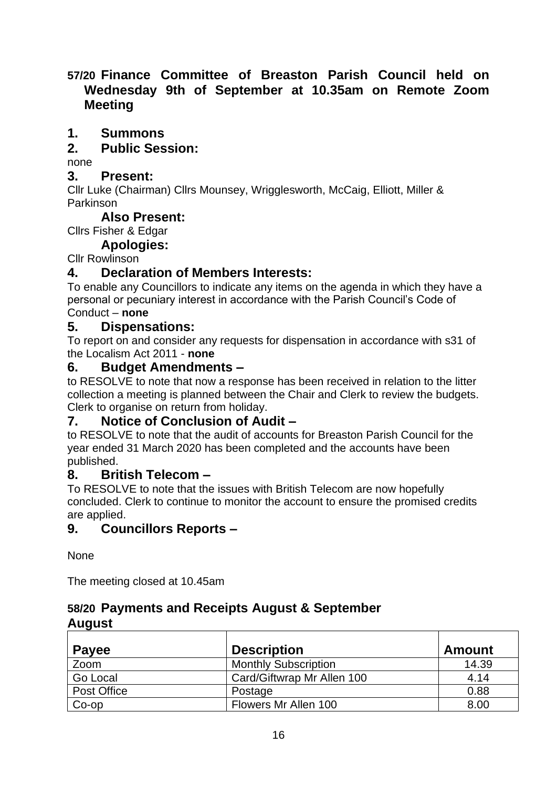# **57/20 Finance Committee of Breaston Parish Council held on Wednesday 9th of September at 10.35am on Remote Zoom Meeting**

# **1. Summons**

# **2. Public Session:**

none

### **3. Present:**

Cllr Luke (Chairman) Cllrs Mounsey, Wrigglesworth, McCaig, Elliott, Miller & Parkinson

# **Also Present:**

Cllrs Fisher & Edgar

# **Apologies:**

# Cllr Rowlinson

# **4. Declaration of Members Interests:**

To enable any Councillors to indicate any items on the agenda in which they have a personal or pecuniary interest in accordance with the Parish Council's Code of Conduct – **none**

# **5. Dispensations:**

To report on and consider any requests for dispensation in accordance with s31 of the Localism Act 2011 - **none**

# **6. Budget Amendments –**

to RESOLVE to note that now a response has been received in relation to the litter collection a meeting is planned between the Chair and Clerk to review the budgets. Clerk to organise on return from holiday.

# **7. Notice of Conclusion of Audit –**

to RESOLVE to note that the audit of accounts for Breaston Parish Council for the year ended 31 March 2020 has been completed and the accounts have been published.

# **8. British Telecom –**

To RESOLVE to note that the issues with British Telecom are now hopefully concluded. Clerk to continue to monitor the account to ensure the promised credits are applied.

# **9. Councillors Reports –**

None

The meeting closed at 10.45am

# **58/20 Payments and Receipts August & September August**

| <b>Payee</b> | <b>Description</b>          | <b>Amount</b> |
|--------------|-----------------------------|---------------|
| Zoom         | <b>Monthly Subscription</b> | 14.39         |
| Go Local     | Card/Giftwrap Mr Allen 100  | 4.14          |
| Post Office  | Postage                     | 0.88          |
| $Co$ -op     | Flowers Mr Allen 100        | 8.00          |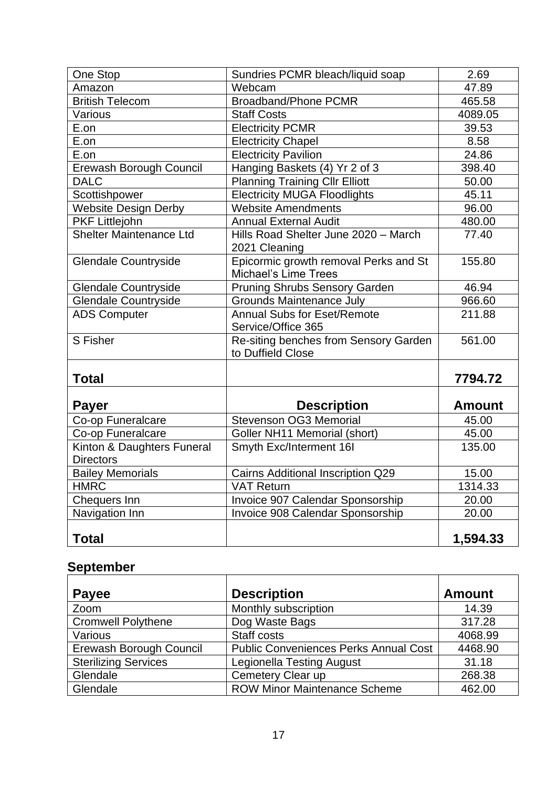| One Stop                       | Sundries PCMR bleach/liquid soap         | 2.69          |
|--------------------------------|------------------------------------------|---------------|
| Amazon                         | Webcam                                   | 47.89         |
| <b>British Telecom</b>         | <b>Broadband/Phone PCMR</b>              | 465.58        |
| Various                        | <b>Staff Costs</b>                       | 4089.05       |
| E.on                           | <b>Electricity PCMR</b>                  | 39.53         |
| E.on                           | <b>Electricity Chapel</b>                | 8.58          |
| E.on                           | <b>Electricity Pavilion</b>              | 24.86         |
| Erewash Borough Council        | Hanging Baskets (4) Yr 2 of 3            | 398.40        |
| <b>DALC</b>                    | <b>Planning Training Cllr Elliott</b>    | 50.00         |
| Scottishpower                  | <b>Electricity MUGA Floodlights</b>      | 45.11         |
| <b>Website Design Derby</b>    | <b>Website Amendments</b>                | 96.00         |
| <b>PKF Littlejohn</b>          | <b>Annual External Audit</b>             | 480.00        |
| <b>Shelter Maintenance Ltd</b> | Hills Road Shelter June 2020 - March     | 77.40         |
|                                | 2021 Cleaning                            |               |
| <b>Glendale Countryside</b>    | Epicormic growth removal Perks and St    | 155.80        |
|                                | <b>Michael's Lime Trees</b>              |               |
| <b>Glendale Countryside</b>    | <b>Pruning Shrubs Sensory Garden</b>     | 46.94         |
| <b>Glendale Countryside</b>    | <b>Grounds Maintenance July</b>          | 966.60        |
| <b>ADS Computer</b>            | <b>Annual Subs for Eset/Remote</b>       | 211.88        |
|                                | Service/Office 365                       |               |
| S Fisher                       | Re-siting benches from Sensory Garden    | 561.00        |
|                                | to Duffield Close                        |               |
|                                |                                          |               |
| <b>Total</b>                   |                                          | 7794.72       |
|                                |                                          |               |
| <b>Payer</b>                   | <b>Description</b>                       | <b>Amount</b> |
| Co-op Funeralcare              | Stevenson OG3 Memorial                   | 45.00         |
| Co-op Funeralcare              | Goller NH11 Memorial (short)             | 45.00         |
| Kinton & Daughters Funeral     | Smyth Exc/Interment 16I                  | 135.00        |
| <b>Directors</b>               |                                          |               |
| <b>Bailey Memorials</b>        | <b>Cairns Additional Inscription Q29</b> | 15.00         |
| <b>HMRC</b>                    | <b>VAT Return</b>                        | 1314.33       |
| Chequers Inn                   | Invoice 907 Calendar Sponsorship         | 20.00         |
| Navigation Inn                 | Invoice 908 Calendar Sponsorship         | 20.00         |
|                                |                                          |               |
| <b>Total</b>                   |                                          | 1,594.33      |

# **September**

| Payee                       | <b>Description</b>                           | <b>Amount</b> |
|-----------------------------|----------------------------------------------|---------------|
| Zoom                        | Monthly subscription                         | 14.39         |
| <b>Cromwell Polythene</b>   | Dog Waste Bags                               | 317.28        |
| Various                     | Staff costs                                  | 4068.99       |
| Erewash Borough Council     | <b>Public Conveniences Perks Annual Cost</b> | 4468.90       |
| <b>Sterilizing Services</b> | <b>Legionella Testing August</b>             | 31.18         |
| Glendale                    | Cemetery Clear up                            | 268.38        |
| Glendale                    | <b>ROW Minor Maintenance Scheme</b>          | 462.00        |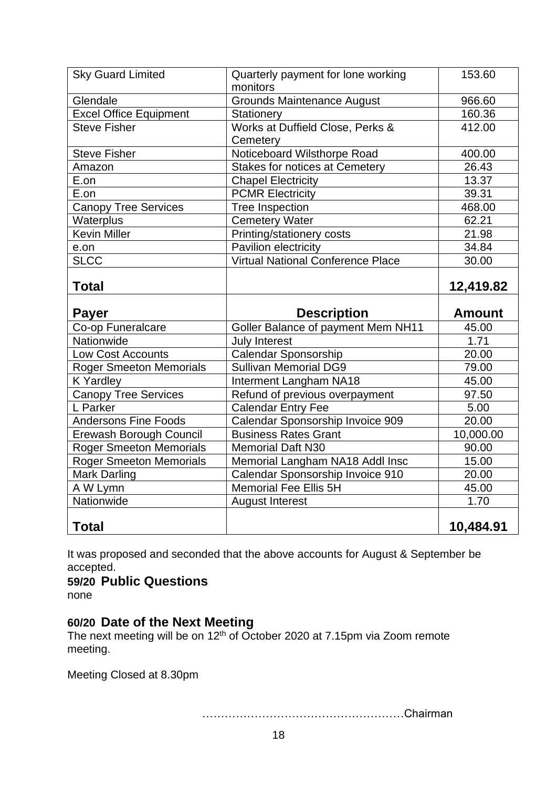| <b>Sky Guard Limited</b>       | Quarterly payment for lone working<br>monitors | 153.60        |
|--------------------------------|------------------------------------------------|---------------|
| Glendale                       | <b>Grounds Maintenance August</b>              | 966.60        |
| <b>Excel Office Equipment</b>  | Stationery                                     | 160.36        |
| <b>Steve Fisher</b>            | Works at Duffield Close, Perks &<br>Cemetery   | 412.00        |
| <b>Steve Fisher</b>            | Noticeboard Wilsthorpe Road                    | 400.00        |
| Amazon                         | <b>Stakes for notices at Cemetery</b>          | 26.43         |
| E.on                           | <b>Chapel Electricity</b>                      | 13.37         |
| E.on                           | <b>PCMR Electricity</b>                        | 39.31         |
| <b>Canopy Tree Services</b>    | Tree Inspection                                | 468.00        |
| Waterplus                      | Cemetery Water                                 | 62.21         |
| <b>Kevin Miller</b>            | Printing/stationery costs                      | 21.98         |
| e.on                           | Pavilion electricity                           | 34.84         |
| <b>SLCC</b>                    | <b>Virtual National Conference Place</b>       | 30.00         |
| <b>Total</b>                   |                                                | 12,419.82     |
|                                |                                                |               |
| <b>Payer</b>                   | <b>Description</b>                             | <b>Amount</b> |
| Co-op Funeralcare              | Goller Balance of payment Mem NH11             | 45.00         |
| Nationwide                     | July Interest                                  | 1.71          |
| <b>Low Cost Accounts</b>       | Calendar Sponsorship                           | 20.00         |
| <b>Roger Smeeton Memorials</b> | <b>Sullivan Memorial DG9</b>                   | 79.00         |
| <b>K</b> Yardley               | Interment Langham NA18                         | 45.00         |
| <b>Canopy Tree Services</b>    | Refund of previous overpayment                 | 97.50         |
| L Parker                       | <b>Calendar Entry Fee</b>                      | 5.00          |
| <b>Andersons Fine Foods</b>    | Calendar Sponsorship Invoice 909               | 20.00         |
| Erewash Borough Council        | <b>Business Rates Grant</b>                    | 10,000.00     |
| <b>Roger Smeeton Memorials</b> | <b>Memorial Daft N30</b>                       | 90.00         |
| <b>Roger Smeeton Memorials</b> | Memorial Langham NA18 Addl Insc                | 15.00         |
| <b>Mark Darling</b>            | Calendar Sponsorship Invoice 910               | 20.00         |
| A W Lymn                       | Memorial Fee Ellis 5H                          | 45.00         |
| Nationwide                     | <b>August Interest</b>                         | 1.70          |

It was proposed and seconded that the above accounts for August & September be accepted.

### **59/20 Public Questions**

none

# **60/20 Date of the Next Meeting**

The next meeting will be on 12<sup>th</sup> of October 2020 at 7.15pm via Zoom remote meeting.

Meeting Closed at 8.30pm

………………………………………………Chairman